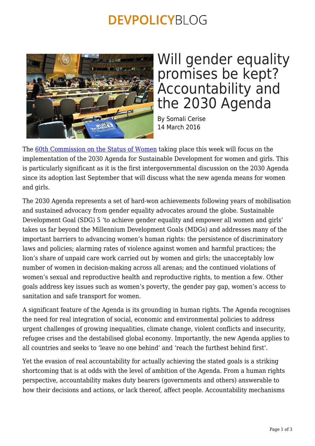## **DEVPOLICYBLOG**



## Will gender equality promises be kept? Accountability and the 2030 Agenda

By Somali Cerise 14 March 2016

The [60th Commission on the Status of Women](http://www2.unwomen.org/en/csw/csw60-2016) taking place this week will focus on the implementation of the 2030 Agenda for Sustainable Development for women and girls. This is particularly significant as it is the first intergovernmental discussion on the 2030 Agenda since its adoption last September that will discuss what the new agenda means for women and girls.

The 2030 Agenda represents a set of hard-won achievements following years of mobilisation and sustained advocacy from gender equality advocates around the globe. Sustainable Development Goal (SDG) 5 'to achieve gender equality and empower all women and girls' takes us far beyond the Millennium Development Goals (MDGs) and addresses many of the important barriers to advancing women's human rights: the persistence of discriminatory laws and policies; alarming rates of violence against women and harmful practices; the lion's share of unpaid care work carried out by women and girls; the unacceptably low number of women in decision-making across all arenas; and the continued violations of women's sexual and reproductive health and reproductive rights, to mention a few. Other goals address key issues such as women's poverty, the gender pay gap, women's access to sanitation and safe transport for women.

A significant feature of the Agenda is its grounding in human rights. The Agenda recognises the need for real integration of social, economic and environmental policies to address urgent challenges of growing inequalities, climate change, violent conflicts and insecurity, refugee crises and the destabilised global economy. Importantly, the new Agenda applies to all countries and seeks to 'leave no one behind' and 'reach the furthest behind first'.

Yet the evasion of real accountability for actually achieving the stated goals is a striking shortcoming that is at odds with the level of ambition of the Agenda. From a human rights perspective, accountability makes duty bearers (governments and others) answerable to how their decisions and actions, or lack thereof, affect people. Accountability mechanisms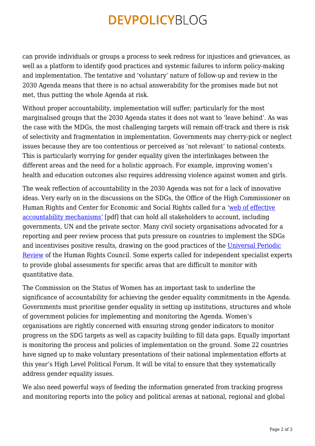## **DEVPOLICYBLOG**

can provide individuals or groups a process to seek redress for injustices and grievances, as well as a platform to identify good practices and systemic failures to inform policy-making and implementation. The tentative and 'voluntary' nature of follow-up and review in the 2030 Agenda means that there is no actual answerability for the promises made but not met, thus putting the whole Agenda at risk.

Without proper accountability, implementation will suffer; particularly for the most marginalised groups that the 2030 Agenda states it does not want to 'leave behind'. As was the case with the MDGs, the most challenging targets will remain off-track and there is risk of selectivity and fragmentation in implementation. Governments may cherry-pick or neglect issues because they are too contentious or perceived as 'not relevant' to national contexts. This is particularly worrying for gender equality given the interlinkages between the different areas and the need for a holistic approach. For example, improving women's health and education outcomes also requires addressing violence against women and girls.

The weak reflection of accountability in the 2030 Agenda was not for a lack of innovative ideas. Very early on in the discussions on the SDGs, the Office of the High Commissioner on Human Rights and Center for Economic and Social Rights called for a ['web of effective](http://www.ohchr.org/Documents/Publications/WhoWillBeAccountable.pdf) [accountability mechanisms'](http://www.ohchr.org/Documents/Publications/WhoWillBeAccountable.pdf) [pdf] that can hold all stakeholders to account, including governments, UN and the private sector. Many civil society organisations advocated for a reporting and peer review process that puts pressure on countries to implement the SDGs and incentivises positive results, drawing on the good practices of the [Universal Periodic](http://www.ohchr.org/EN/HRBodies/UPR/Pages/UPRMain.aspx) [Review](http://www.ohchr.org/EN/HRBodies/UPR/Pages/UPRMain.aspx) of the Human Rights Council. Some experts called for independent specialist experts to provide global assessments for specific areas that are difficult to monitor with quantitative data.

The Commission on the Status of Women has an important task to underline the significance of accountability for achieving the gender equality commitments in the Agenda. Governments must prioritise gender equality in setting up institutions, structures and whole of government policies for implementing and monitoring the Agenda. Women's organisations are rightly concerned with ensuring strong gender indicators to monitor progress on the SDG targets as well as capacity building to fill data gaps. Equally important is monitoring the process and policies of implementation on the ground. Some 22 countries have signed up to make voluntary presentations of their national implementation efforts at this year's High Level Political Forum. It will be vital to ensure that they systematically address gender equality issues.

We also need powerful ways of feeding the information generated from tracking progress and monitoring reports into the policy and political arenas at national, regional and global